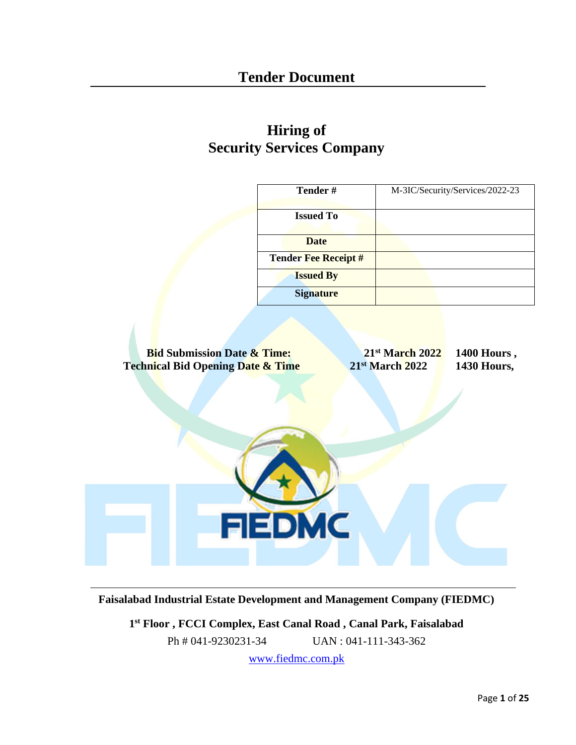# **Hiring of Security Services Company**

| Tender#                                                                                                 | M-3IC/Security/Services/2022-23                                         |
|---------------------------------------------------------------------------------------------------------|-------------------------------------------------------------------------|
| <b>Issued To</b>                                                                                        |                                                                         |
| <b>Date</b>                                                                                             |                                                                         |
| <b>Tender Fee Receipt #</b>                                                                             |                                                                         |
| <b>Issued By</b>                                                                                        |                                                                         |
| <b>Signature</b>                                                                                        |                                                                         |
| <b>Bid Submission Date &amp; Time:</b><br><b>Technical Bid Opening Date &amp; Time</b><br><b>FIEDMC</b> | 21st March 2022<br>1400 Hours,<br>21st March 2022<br><b>1430 Hours,</b> |

**Faisalabad Industrial Estate Development and Management Company (FIEDMC)**

**1 st Floor , FCCI Complex, East Canal Road , Canal Park, Faisalabad**

Ph # 041-9230231-34 UAN : 041-111-343-362

[www.fiedmc.com.pk](http://www.fiedmc.com.pk/)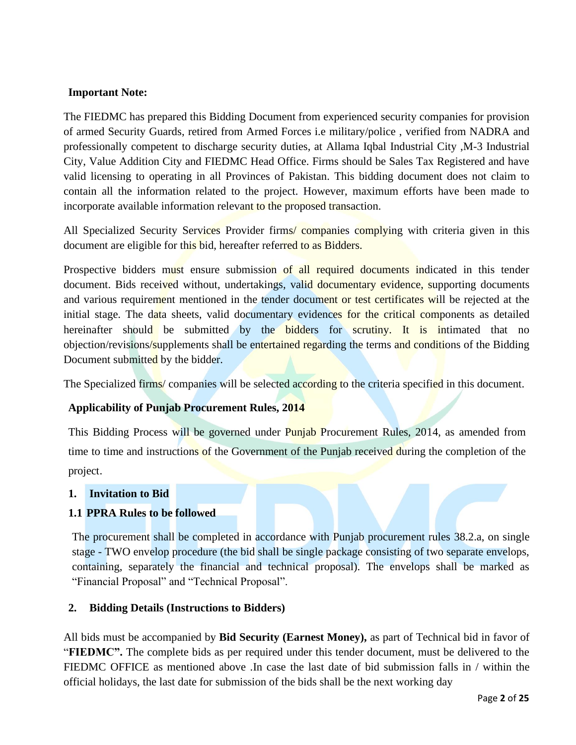### **Important Note:**

The FIEDMC has prepared this Bidding Document from experienced security companies for provision of armed Security Guards, retired from Armed Forces i.e military/police , verified from NADRA and professionally competent to discharge security duties, at Allama Iqbal Industrial City ,M-3 Industrial City, Value Addition City and FIEDMC Head Office. Firms should be Sales Tax Registered and have valid licensing to operating in all Provinces of Pakistan. This bidding document does not claim to contain all the information related to the project. However, maximum efforts have been made to incorporate available information relevant to the proposed transaction.

All Specialized Security Services Provider firms/ companies complying with criteria given in this document are eligible for this bid, hereafter referred to as Bidders.

Prospective bidders must ensure submission of all required documents indicated in this tender document. Bids received without, undertakings, valid documentary evidence, supporting documents and various requirement mentioned in the tender document or test certificates will be rejected at the initial stage. The data sheets, valid documentary evidences for the critical components as detailed hereinafter should be submitted by the bidders for scrutiny. It is intimated that no objection/revisions/supplements shall be entertained regarding the terms and conditions of the Bidding Document submitted by the bidder.

The Specialized firms/ companies will be selected according to the criteria specified in this document.

### **Applicability of Punjab Procurement Rules, 2014**

This Bidding Process will be governed under Punjab Procurement Rules, 2014, as amended from time to time and instructions of the Government of the Punjab received during the completion of the project.

#### **1. Invitation to Bid**

### **1.1 PPRA Rules to be followed**

The procurement shall be completed in accordance with Punjab procurement rules 38.2.a, on single stage - TWO envelop procedure (the bid shall be single package consisting of two separate envelops, containing, separately the financial and technical proposal). The envelops shall be marked as "Financial Proposal" and "Technical Proposal".

### **2. Bidding Details (Instructions to Bidders)**

All bids must be accompanied by **Bid Security (Earnest Money),** as part of Technical bid in favor of "**FIEDMC".** The complete bids as per required under this tender document, must be delivered to the FIEDMC OFFICE as mentioned above .In case the last date of bid submission falls in / within the official holidays, the last date for submission of the bids shall be the next working day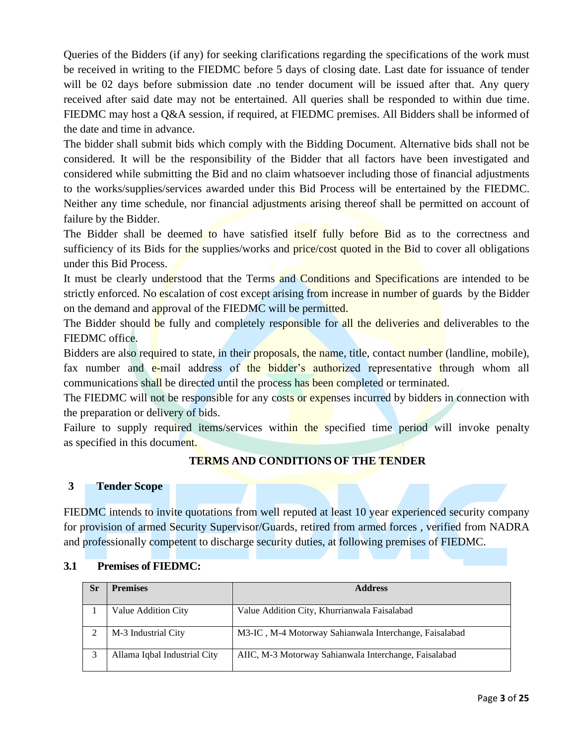Queries of the Bidders (if any) for seeking clarifications regarding the specifications of the work must be received in writing to the FIEDMC before 5 days of closing date. Last date for issuance of tender will be 02 days before submission date .no tender document will be issued after that. Any query received after said date may not be entertained. All queries shall be responded to within due time. FIEDMC may host a Q&A session, if required, at FIEDMC premises. All Bidders shall be informed of the date and time in advance.

The bidder shall submit bids which comply with the Bidding Document. Alternative bids shall not be considered. It will be the responsibility of the Bidder that all factors have been investigated and considered while submitting the Bid and no claim whatsoever including those of financial adjustments to the works/supplies/services awarded under this Bid Process will be entertained by the FIEDMC. Neither any time schedule, nor financial adjustments arising thereof shall be permitted on account of failure by the Bidder.

The Bidder shall be deemed to have satisfied itself fully before Bid as to the correctness and sufficiency of its Bids for the supplies/works and price/cost quoted in the Bid to cover all obligations under this Bid Process.

It must be clearly understood that the Terms and Conditions and Specifications are intended to be strictly enforced. No escalation of cost except arising from increase in number of guards by the Bidder on the demand and approval of the FIEDMC will be permitted.

The Bidder should be fully and completely responsible for all the deliveries and deliverables to the FIEDMC office.

Bidders are also required to state, in their proposals, the name, title, contact number (landline, mobile), fax number and e-mail address of the bidder's authorized representative through whom all communications shall be directed until the process has been completed or terminated.

The FIEDMC will not be responsible for any costs or expenses incurred by bidders in connection with the preparation or delivery of bids.

Failure to supply required items/services within the specified time period will invoke penalty as specified in this document.

### **TERMS AND CONDITIONS OF THE TENDER**

#### **3 Tender Scope**

FIEDMC intends to invite quotations from well reputed at least 10 year experienced security company for provision of armed Security Supervisor/Guards, retired from armed forces , verified from NADRA and professionally competent to discharge security duties, at following premises of FIEDMC.

#### **3.1 Premises of FIEDMC:**

| Sr | <b>Premises</b>              | <b>Address</b>                                         |  |  |  |
|----|------------------------------|--------------------------------------------------------|--|--|--|
|    |                              |                                                        |  |  |  |
|    | Value Addition City          | Value Addition City, Khurrianwala Faisalabad           |  |  |  |
|    | M-3 Industrial City          | M3-IC, M-4 Motorway Sahianwala Interchange, Faisalabad |  |  |  |
|    | Allama Iqbal Industrial City | AIIC, M-3 Motorway Sahianwala Interchange, Faisalabad  |  |  |  |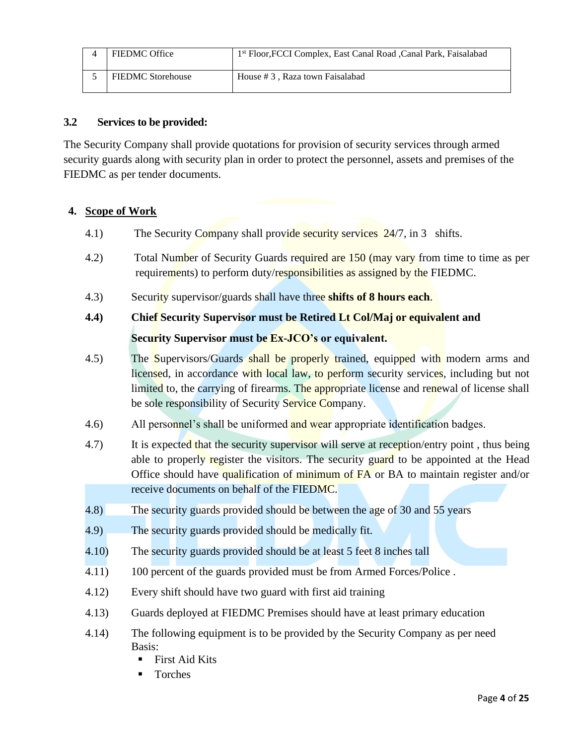| <b>FIEDMC Office</b>     | 1st Floor, FCCI Complex, East Canal Road, Canal Park, Faisalabad |
|--------------------------|------------------------------------------------------------------|
| <b>FIEDMC</b> Storehouse | House #3, Raza town Faisalabad                                   |

### **3.2 Services to be provided:**

The Security Company shall provide quotations for provision of security services through armed security guards along with security plan in order to protect the personnel, assets and premises of the FIEDMC as per tender documents.

# **4. Scope of Work**

- 4.1) The Security Company shall provide security services 24/7, in 3 shifts.
- 4.2) Total Number of Security Guards required are 150 (may vary from time to time as per requirements) to perform duty/responsibilities as assigned by the FIEDMC.
- 4.3) Security supervisor/guards shall have three **shifts of 8 hours each**.
- **4.4) Chief Security Supervisor must be Retired Lt Col/Maj or equivalent and Security Supervisor must be Ex-JCO's or equivalent.**
- 4.5) The Supervisors/Guards shall be properly trained, equipped with modern arms and licensed, in accordance with local law, to perform security services, including but not limited to, the carrying of firearms. The appropriate license and renewal of license shall be sole responsibility of Security Service Company.
- 4.6) All personnel's shall be uniformed and wear appropriate identification badges.
- 4.7) It is expected that the security supervisor will serve at reception/entry point, thus being able to properly register the visitors. The security guard to be appointed at the Head Office should have qualification of minimum of FA or BA to maintain register and/or receive documents on behalf of the FIEDMC.
- 4.8) The security guards provided should be between the age of 30 and 55 years
- 4.9) The security guards provided should be medically fit.
- 4.10) The security guards provided should be at least 5 feet 8 inches tall
- 4.11) 100 percent of the guards provided must be from Armed Forces/Police .
- 4.12) Every shift should have two guard with first aid training
- 4.13) Guards deployed at FIEDMC Premises should have at least primary education
- 4.14) The following equipment is to be provided by the Security Company as per need Basis:
	- **First Aid Kits**
	- **Torches**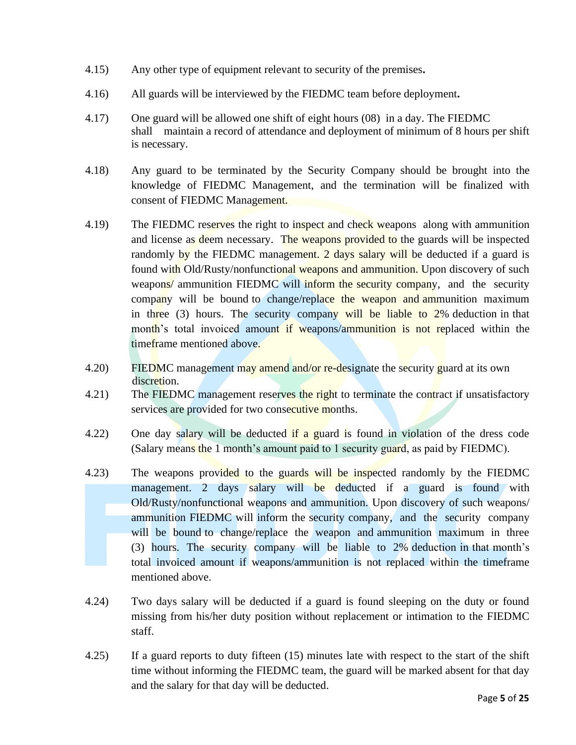- 4.15) Any other type of equipment relevant to security of the premises**.**
- 4.16) All guards will be interviewed by the FIEDMC team before deployment**.**
- 4.17) One guard will be allowed one shift of eight hours (08) in a day. The FIEDMC shall maintain a record of attendance and deployment of minimum of 8 hours per shift is necessary.
- 4.18) Any guard to be terminated by the Security Company should be brought into the knowledge of FIEDMC Management, and the termination will be finalized with consent of FIEDMC Management.
- 4.19) The FIEDMC reserves the right to inspect and check weapons along with ammunition and license as deem necessary. The weapons provided to the guards will be inspected randomly by the FIEDMC management. 2 days salary will be deducted if a guard is found with Old/Rusty/nonfunctional weapons and ammunition. Upon discovery of such weapons/ ammunition FIEDMC will inform the security company, and the security company will be bound to change/replace the weapon and ammunition maximum in three (3) hours. The security company will be liable to 2% deduction in that month's total invoiced amount if weapons/ammunition is not replaced within the timeframe mentioned above.
- 4.20) FIEDMC management may amend and/or re-designate the security guard at its own discretion.
- 4.21) The FIEDMC management reserves the right to terminate the contract if unsatisfactory services are provided for two consecutive months.
- 4.22) One day salary will be deducted if a guard is found in violation of the dress code (Salary means the 1 month's amount paid to 1 security guard, as paid by FIEDMC).
- 4.23) The weapons provided to the guards will be inspected randomly by the FIEDMC management. 2 days salary will be deducted if a guard is found with Old/Rusty/nonfunctional weapons and ammunition. Upon discovery of such weapons/ ammunition FIEDMC will inform the security company, and the security company will be bound to change/replace the weapon and ammunition maximum in three (3) hours. The security company will be liable to 2% deduction in that month's total invoiced amount if weapons/ammunition is not replaced within the timeframe mentioned above.
- 4.24) Two days salary will be deducted if a guard is found sleeping on the duty or found missing from his/her duty position without replacement or intimation to the FIEDMC staff.
- 4.25) If a guard reports to duty fifteen (15) minutes late with respect to the start of the shift time without informing the FIEDMC team, the guard will be marked absent for that day and the salary for that day will be deducted.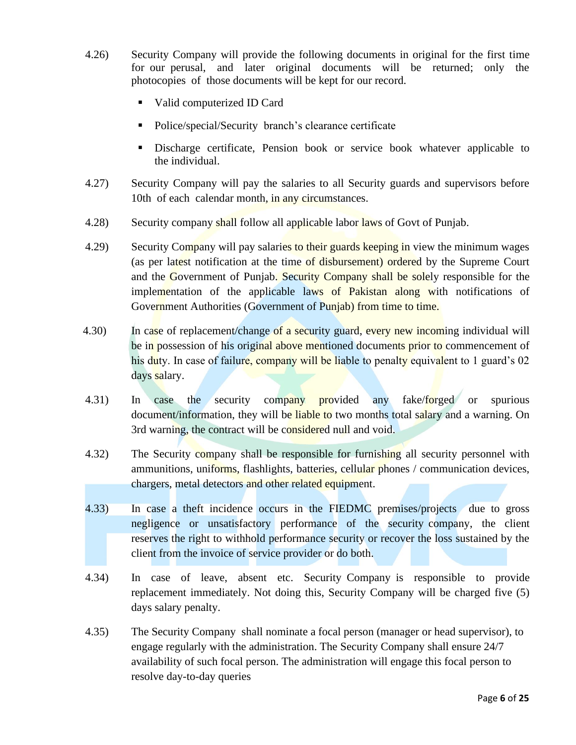- 4.26) Security Company will provide the following documents in original for the first time for our perusal, and later original documents will be returned; only the photocopies of those documents will be kept for our record.
	- Valid computerized ID Card
	- Police/special/Security branch's clearance certificate
	- Discharge certificate, Pension book or service book whatever applicable to the individual.
- 4.27) Security Company will pay the salaries to all Security guards and supervisors before 10th of each calendar month, in any circumstances.
- 4.28) Security company shall follow all applicable labor laws of Govt of Punjab.
- 4.29) Security Company will pay salaries to their guards keeping in view the minimum wages (as per latest notification at the time of disbursement) ordered by the Supreme Court and the Government of Punjab. Security Company shall be solely responsible for the implementation of the applicable laws of Pakistan along with notifications of Government Authorities (Government of Punjab) from time to time.
- 4.30) In case of replacement/change of a security guard, every new incoming individual will be in possession of his original above mentioned documents prior to commencement of his duty. In case of failure, company will be liable to penalty equivalent to 1 guard's 02 days salary.
- 4.31) In case the security company provided any fake/forged or spurious document/information, they will be liable to two months total salary and a warning. On 3rd warning, the contract will be considered null and void.
- 4.32) The Security company shall be responsible for furnishing all security personnel with ammunitions, uniforms, flashlights, batteries, cellular phones / communication devices, chargers, metal detectors and other related equipment.
- 4.33) In case a theft incidence occurs in the FIEDMC premises/projects due to gross negligence or unsatisfactory performance of the security company, the client reserves the right to withhold performance security or recover the loss sustained by the client from the invoice of service provider or do both.
- 4.34) In case of leave, absent etc. Security Company is responsible to provide replacement immediately. Not doing this, Security Company will be charged five (5) days salary penalty.
- 4.35) The Security Company shall nominate a focal person (manager or head supervisor), to engage regularly with the administration. The Security Company shall ensure 24/7 availability of such focal person. The administration will engage this focal person to resolve day-to-day queries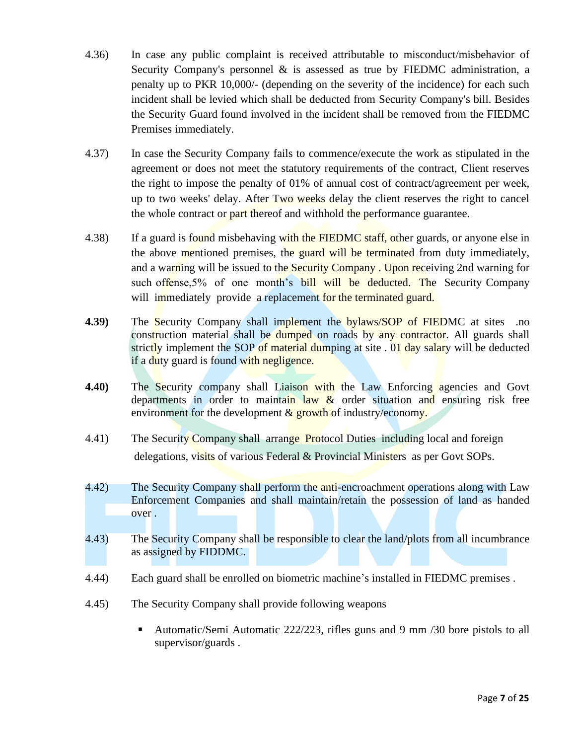- 4.36) In case any public complaint is received attributable to misconduct/misbehavior of Security Company's personnel & is assessed as true by FIEDMC administration, a penalty up to PKR 10,000/- (depending on the severity of the incidence) for each such incident shall be levied which shall be deducted from Security Company's bill. Besides the Security Guard found involved in the incident shall be removed from the FIEDMC Premises immediately.
- 4.37) In case the Security Company fails to commence/execute the work as stipulated in the agreement or does not meet the statutory requirements of the contract, Client reserves the right to impose the penalty of 01% of annual cost of contract/agreement per week, up to two weeks' delay. After Two weeks delay the client reserves the right to cancel the whole contract or part thereof and withhold the performance guarantee.
- 4.38) If a guard is found misbehaving with the FIEDMC staff, other guards, or anyone else in the above mentioned premises, the guard will be terminated from duty immediately, and a warning will be issued to the Security Company. Upon receiving 2nd warning for such offense,5% of one month's bill will be deducted. The Security Company will immediately provide a replacement for the terminated guard.
- **4.39)** The Security Company shall implement the bylaws/SOP of FIEDMC at sites .no construction material shall be dumped on roads by any contractor. All guards shall strictly implement the SOP of material dumping at site . 01 day salary will be deducted if a duty guard is found with negligence.
- **4.40)** The Security company shall Liaison with the Law Enforcing agencies and Govt departments in order to maintain law  $\&$  order situation and ensuring risk free environment for the development  $\&$  growth of industry/economy.
- 4.41) The Security Company shall arrange Protocol Duties including local and foreign delegations, visits of various Federal & Provincial Ministers as per Govt SOPs.
- 4.42) The Security Company shall perform the anti-encroachment operations along with Law Enforcement Companies and shall maintain/retain the possession of land as handed over .
- 4.43) The Security Company shall be responsible to clear the land/plots from all incumbrance as assigned by FIDDMC.
- 4.44) Each guard shall be enrolled on biometric machine's installed in FIEDMC premises .
- 4.45) The Security Company shall provide following weapons
	- Automatic/Semi Automatic 222/223, rifles guns and 9 mm /30 bore pistols to all supervisor/guards .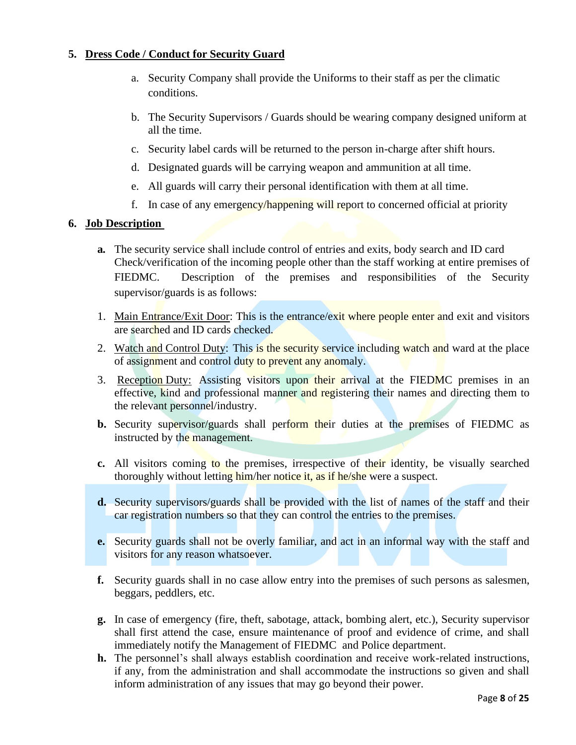# **5. Dress Code / Conduct for Security Guard**

- a. Security Company shall provide the Uniforms to their staff as per the climatic conditions.
- b. The Security Supervisors / Guards should be wearing company designed uniform at all the time.
- c. Security label cards will be returned to the person in-charge after shift hours.
- d. Designated guards will be carrying weapon and ammunition at all time.
- e. All guards will carry their personal identification with them at all time.
- f. In case of any emergency/happening will report to concerned official at priority

### **6. Job Description**

- **a.** The security service shall include control of entries and exits, body search and ID card Check/verification of the incoming people other than the staff working at entire premises of FIEDMC. Description of the premises and responsibilities of the Security supervisor/guards is as follows:
- 1. Main Entrance/Exit Door: This is the entrance/exit where people enter and exit and visitors are searched and ID cards checked.
- 2. Watch and Control Duty: This is the security service including watch and ward at the place of assignment and control duty to prevent any anomaly.
- 3. Reception Duty: Assisting visitors upon their arrival at the FIEDMC premises in an effective, kind and professional manner and registering their names and directing them to the relevant personnel/industry.
- **b.** Security supervisor/guards shall perform their duties at the premises of FIEDMC as instructed by the management.
- **c.** All visitors coming to the premises, irrespective of their identity, be visually searched thoroughly without letting him/her notice it, as if he/she were a suspect.
- **d.** Security supervisors/guards shall be provided with the list of names of the staff and their car registration numbers so that they can control the entries to the premises.
- **e.** Security guards shall not be overly familiar, and act in an informal way with the staff and visitors for any reason whatsoever.
- **f.** Security guards shall in no case allow entry into the premises of such persons as salesmen, beggars, peddlers, etc.
- **g.** In case of emergency (fire, theft, sabotage, attack, bombing alert, etc.), Security supervisor shall first attend the case, ensure maintenance of proof and evidence of crime, and shall immediately notify the Management of FIEDMC and Police department.
- **h.** The personnel's shall always establish coordination and receive work-related instructions, if any, from the administration and shall accommodate the instructions so given and shall inform administration of any issues that may go beyond their power.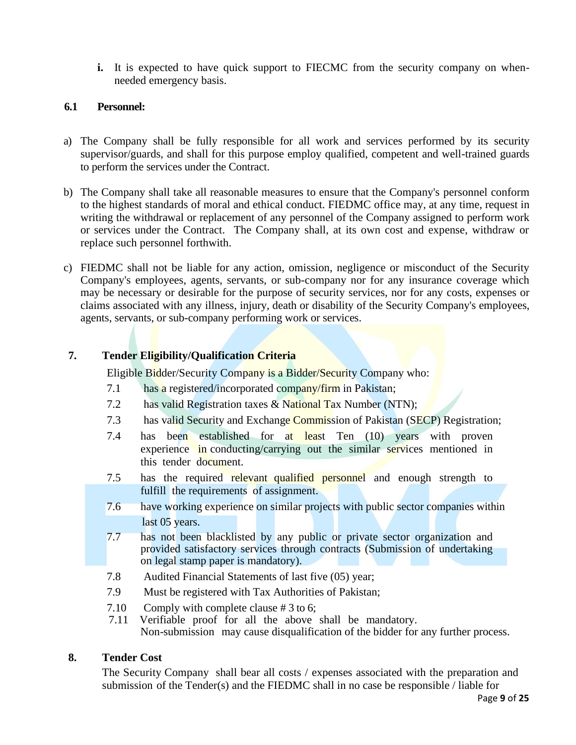**i.** It is expected to have quick support to FIECMC from the security company on whenneeded emergency basis.

#### **6.1 Personnel:**

- a) The Company shall be fully responsible for all work and services performed by its security supervisor/guards, and shall for this purpose employ qualified, competent and well-trained guards to perform the services under the Contract.
- b) The Company shall take all reasonable measures to ensure that the Company's personnel conform to the highest standards of moral and ethical conduct. FIEDMC office may, at any time, request in writing the withdrawal or replacement of any personnel of the Company assigned to perform work or services under the Contract. The Company shall, at its own cost and expense, withdraw or replace such personnel forthwith.
- c) FIEDMC shall not be liable for any action, omission, negligence or misconduct of the Security Company's employees, agents, servants, or sub-company nor for any insurance coverage which may be necessary or desirable for the purpose of security services, nor for any costs, expenses or claims associated with any illness, injury, death or disability of the Security Company's employees, agents, servants, or sub-company performing work or services.

# **7. Tender Eligibility/Qualification Criteria**

Eligible Bidder/Security Company is a Bidder/Security Company who:

- 7.1 has a registered/incorporated company/firm in Pakistan;
- 7.2 has valid Registration taxes & National Tax Number (NTN);
- 7.3 has valid Security and Exchange Commission of Pakistan (SECP) Registration;
- 7.4 has been established for at least Ten (10) years with proven experience in conducting/carrying out the similar services mentioned in this tender document.
- 7.5 has the required relevant qualified personnel and enough strength to fulfill the requirements of assignment.
- 7.6 have working experience on similar projects with public sector companies within last 05 years.
- 7.7 has not been blacklisted by any public or private sector organization and provided satisfactory services through contracts (Submission of undertaking on legal stamp paper is mandatory).
- 7.8 Audited Financial Statements of last five (05) year;
- 7.9 Must be registered with Tax Authorities of Pakistan;
- 7.10 Comply with complete clause # 3 to 6;
- 7.11 Verifiable proof for all the above shall be mandatory. Non-submission may cause disqualification of the bidder for any further process.

### **8. Tender Cost**

The Security Company shall bear all costs / expenses associated with the preparation and submission of the Tender(s) and the FIEDMC shall in no case be responsible / liable for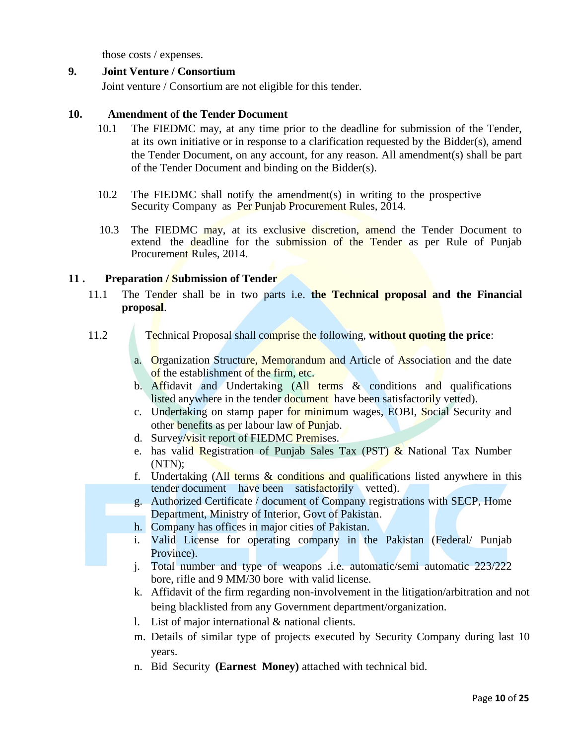those costs / expenses.

#### **9. Joint Venture / Consortium**

Joint venture / Consortium are not eligible for this tender.

#### **10. Amendment of the Tender Document**

- 10.1 The FIEDMC may, at any time prior to the deadline for submission of the Tender, at its own initiative or in response to a clarification requested by the Bidder(s), amend the Tender Document, on any account, for any reason. All amendment(s) shall be part of the Tender Document and binding on the Bidder(s).
- 10.2 The FIEDMC shall notify the amendment(s) in writing to the prospective Security Company as Per Punjab Procurement Rules, 2014.
- 10.3 The FIEDMC may, at its exclusive discretion, amend the Tender Document to extend the deadline for the submission of the Tender as per Rule of Punjab Procurement Rules, 2014.

#### **11 . Preparation / Submission of Tender**

11.1 The Tender shall be in two parts i.e. **the Technical proposal and the Financial proposal**.

- 11.2 Technical Proposal shall comprise the following, **without quoting the price**:
	- a. Organization Structure, Memorandum and Article of Association and the date of the establishment of the firm, etc.
	- b. Affidavit and Undertaking (All terms & conditions and qualifications listed anywhere in the tender document have been satisfactorily vetted).
	- c. Undertaking on stamp paper for minimum wages, EOBI, Social Security and other benefits as per labour law of Punjab.
	- d. Survey/visit report of FIEDMC Premises.
	- e. has valid Registration of Punjab Sales Tax (PST) & National Tax Number (NTN);
	- f. Undertaking (All terms  $\&$  conditions and qualifications listed anywhere in this tender document have been satisfactorily vetted).
	- g. Authorized Certificate / document of Company registrations with SECP, Home Department, Ministry of Interior, Govt of Pakistan.
	- h. Company has offices in major cities of Pakistan.
	- i. Valid License for operating company in the Pakistan (Federal/ Punjab Province).
	- j. Total number and type of weapons .i.e. automatic/semi automatic 223/222 bore, rifle and 9 MM/30 bore with valid license.
	- k. Affidavit of the firm regarding non-involvement in the litigation/arbitration and not being blacklisted from any Government department/organization.
	- l. List of major international & national clients.
	- m. Details of similar type of projects executed by Security Company during last 10 years.
	- n. Bid Security **(Earnest Money)** attached with technical bid.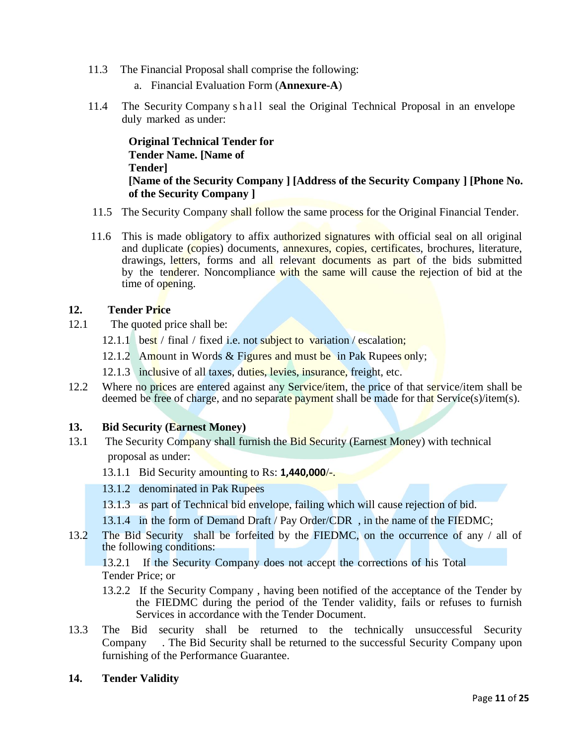- 11.3 The Financial Proposal shall comprise the following:
	- a. Financial Evaluation Form (**Annexure-A**)
- 11.4 The Security Company s h a l l seal the Original Technical Proposal in an envelope duly marked as under:

**Original Technical Tender for Tender Name. [Name of Tender] [Name of the Security Company ] [Address of the Security Company ] [Phone No. of the Security Company ]**

- 11.5 The Security Company shall follow the same process for the Original Financial Tender.
- 11.6 This is made obligatory to affix authorized signatures with official seal on all original and duplicate (copies) documents, annexures, copies, certificates, brochures, literature, drawings, letters, forms and all relevant documents as part of the bids submitted by the tenderer. Noncompliance with the same will cause the rejection of bid at the time of opening.

#### **12. Tender Price**

- 12.1 The quoted price shall be:
	- 12.1.1 best / final / fixed i.e. not subject to variation / escalation;
	- 12.1.2 Amount in Words & Figures and must be in Pak Rupees only;
	- 12.1.3 inclusive of all taxes, duties, levies, insurance, freight, etc.
- 12.2 Where no prices are entered against any Service/item, the price of that service/item shall be deemed be free of charge, and no separate payment shall be made for that Service(s)/item(s).

#### **13. Bid Security (Earnest Money)**

- 13.1 The Security Company shall furnish the Bid Security (Earnest Money) with technical proposal as under:
	- 13.1.1 Bid Security amounting to Rs: **1,440,000**/-.
	- 13.1.2 denominated in Pak Rupees
	- 13.1.3 as part of Technical bid envelope, failing which will cause rejection of bid.
	- 13.1.4 in the form of Demand Draft / Pay Order/CDR , in the name of the FIEDMC;
- 13.2 The Bid Security shall be forfeited by the FIEDMC, on the occurrence of any / all of the following conditions:

13.2.1 If the Security Company does not accept the corrections of his Total Tender Price; or

- 13.2.2 If the Security Company , having been notified of the acceptance of the Tender by the FIEDMC during the period of the Tender validity, fails or refuses to furnish Services in accordance with the Tender Document.
- 13.3 The Bid security shall be returned to the technically unsuccessful Security Company . The Bid Security shall be returned to the successful Security Company upon furnishing of the Performance Guarantee.
- **14. Tender Validity**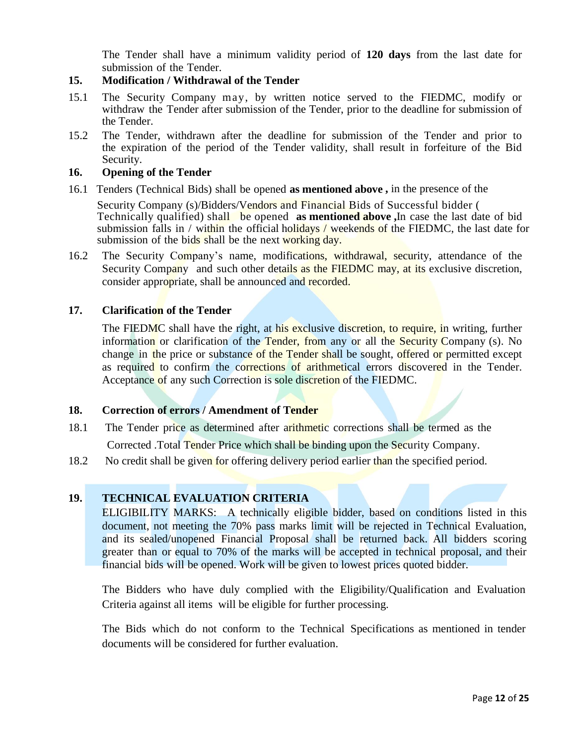The Tender shall have a minimum validity period of **120 days** from the last date for submission of the Tender.

#### **15. Modification / Withdrawal of the Tender**

- 15.1 The Security Company may, by written notice served to the FIEDMC, modify or withdraw the Tender after submission of the Tender, prior to the deadline for submission of the Tender.
- 15.2 The Tender, withdrawn after the deadline for submission of the Tender and prior to the expiration of the period of the Tender validity, shall result in forfeiture of the Bid Security.

#### **16. Opening of the Tender**

16.1 Tenders (Technical Bids) shall be opened **as mentioned above ,** in the presence of the

Security Company (s)/Bidders/Vendors and Financial Bids of Successful bidder ( Technically qualified) shall be opened **as mentioned above ,**In case the last date of bid submission falls in / within the official holidays / weekends of the FIEDMC, the last date for submission of the bids shall be the next working day.

16.2 The Security Company's name, modifications, withdrawal, security, attendance of the Security Company and such other details as the FIEDMC may, at its exclusive discretion, consider appropriate, shall be announced and recorded.

#### **17. Clarification of the Tender**

The FIEDMC shall have the right, at his exclusive discretion, to require, in writing, further information or clarification of the Tender, from any or all the Security Company (s). No change in the price or substance of the Tender shall be sought, offered or permitted except as required to confirm the corrections of arithmetical errors discovered in the Tender. Acceptance of any such Correction is sole discretion of the FIEDMC.

#### **18. Correction of errors / Amendment of Tender**

- 18.1 The Tender price as determined after arithmetic corrections shall be termed as the Corrected .Total Tender Price which shall be binding upon the Security Company.
- 18.2 No credit shall be given for offering delivery period earlier than the specified period.

### **19. TECHNICAL EVALUATION CRITERIA**

ELIGIBILITY MARKS: A technically eligible bidder, based on conditions listed in this document, not meeting the 70% pass marks limit will be rejected in Technical Evaluation, and its sealed/unopened Financial Proposal shall be returned back. All bidders scoring greater than or equal to 70% of the marks will be accepted in technical proposal, and their financial bids will be opened. Work will be given to lowest prices quoted bidder.

The Bidders who have duly complied with the Eligibility/Qualification and Evaluation Criteria against all items will be eligible for further processing.

The Bids which do not conform to the Technical Specifications as mentioned in tender documents will be considered for further evaluation.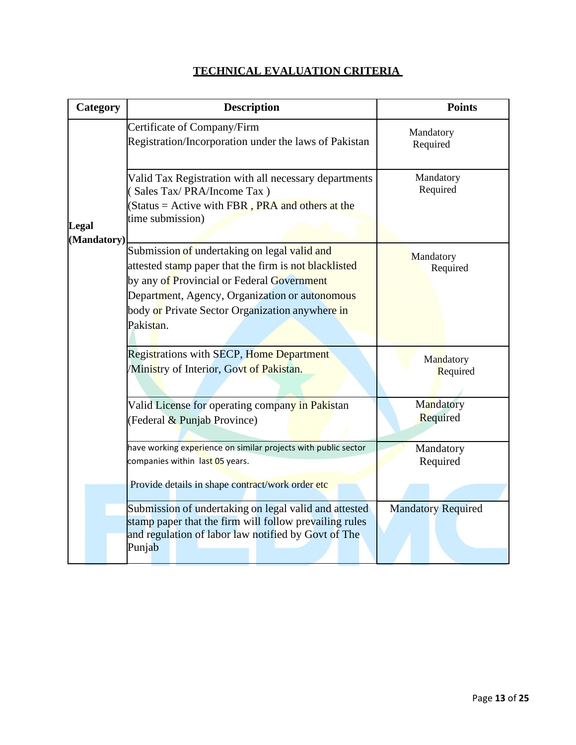| Category    | <b>Description</b>                                                                                                                                                                                                                                                    | <b>Points</b>             |
|-------------|-----------------------------------------------------------------------------------------------------------------------------------------------------------------------------------------------------------------------------------------------------------------------|---------------------------|
|             | Certificate of Company/Firm<br>Registration/Incorporation under the laws of Pakistan                                                                                                                                                                                  | Mandatory<br>Required     |
| Legal       | Valid Tax Registration with all necessary departments<br>Sales Tax/PRA/Income Tax)<br>(Status = Active with FBR, PRA and others at the<br>time submission)                                                                                                            | Mandatory<br>Required     |
| (Mandatory) | Submission of undertaking on legal valid and<br>attested stamp paper that the firm is not blacklisted<br>by any of Provincial or Federal Government<br>Department, Agency, Organization or autonomous<br>body or Private Sector Organization anywhere in<br>Pakistan. | Mandatory<br>Required     |
|             | <b>Registrations with SECP, Home Department</b><br>Ministry of Interior, Govt of Pakistan.                                                                                                                                                                            | Mandatory<br>Required     |
|             | Valid License for operating company in Pakistan<br>(Federal & Punjab Province)                                                                                                                                                                                        | Mandatory<br>Required     |
|             | have working experience on similar projects with public sector<br>companies within last 05 years.<br>Provide details in shape contract/work order etc                                                                                                                 | Mandatory<br>Required     |
|             | Submission of undertaking on legal valid and attested<br>stamp paper that the firm will follow prevailing rules<br>and regulation of labor law notified by Govt of The<br>Punjab                                                                                      | <b>Mandatory Required</b> |

# **TECHNICAL EVALUATION CRITERIA**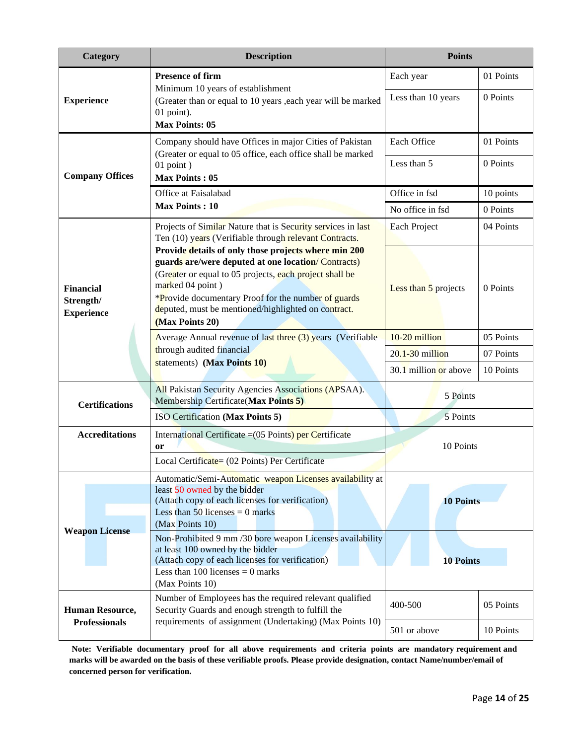| Category                                    | <b>Description</b>                                                                                                                                                                                                                                                                                                                 | <b>Points</b>           |           |  |
|---------------------------------------------|------------------------------------------------------------------------------------------------------------------------------------------------------------------------------------------------------------------------------------------------------------------------------------------------------------------------------------|-------------------------|-----------|--|
|                                             | <b>Presence of firm</b>                                                                                                                                                                                                                                                                                                            |                         | 01 Points |  |
| <b>Experience</b>                           | Minimum 10 years of establishment<br>(Greater than or equal to 10 years , each year will be marked<br>01 point).<br><b>Max Points: 05</b>                                                                                                                                                                                          | Less than 10 years      | 0 Points  |  |
|                                             | Company should have Offices in major Cities of Pakistan<br>(Greater or equal to 05 office, each office shall be marked                                                                                                                                                                                                             | Each Office             | 01 Points |  |
| <b>Company Offices</b>                      | $01$ point)<br><b>Max Points: 05</b>                                                                                                                                                                                                                                                                                               | Less than 5             | 0 Points  |  |
|                                             | Office at Faisalabad                                                                                                                                                                                                                                                                                                               | Office in fsd           | 10 points |  |
|                                             | <b>Max Points: 10</b>                                                                                                                                                                                                                                                                                                              | No office in fsd        | 0 Points  |  |
|                                             | Projects of Similar Nature that is Security services in last<br>Ten (10) years (Verifiable through relevant Contracts.                                                                                                                                                                                                             | Each Project            | 04 Points |  |
| Financial<br>Strength/<br><b>Experience</b> | Provide details of only those projects where min 200<br>guards are/were deputed at one location/ Contracts)<br>(Greater or equal to 05 projects, each project shall be<br>marked 04 point)<br><i>*Provide documentary Proof for the number of guards</i><br>deputed, must be mentioned/highlighted on contract.<br>(Max Points 20) | Less than 5 projects    | 0 Points  |  |
|                                             | Average Annual revenue of last three (3) years (Verifiable                                                                                                                                                                                                                                                                         | 10-20 million           | 05 Points |  |
|                                             | through audited financial<br>statements) (Max Points 10)                                                                                                                                                                                                                                                                           | $20.1 - 30$ million     | 07 Points |  |
|                                             |                                                                                                                                                                                                                                                                                                                                    | $30.1$ million or above | 10 Points |  |
| <b>Certifications</b>                       | All Pakistan Security Agencies Associations (APSAA).<br>Membership Certificate(Max Points 5)                                                                                                                                                                                                                                       | 5 Points                |           |  |
|                                             | ISO Certification (Max Points 5)                                                                                                                                                                                                                                                                                                   | 5 Points                |           |  |
| <b>Accreditations</b>                       | International Certificate $=(05 \text{ Points})$ per Certificate<br>or<br>Local Certificate= (02 Points) Per Certificate                                                                                                                                                                                                           | 10 Points               |           |  |
|                                             | Automatic/Semi-Automatic weapon Licenses availability at<br>least 50 owned by the bidder<br>(Attach copy of each licenses for verification)<br>Less than 50 licenses = $0$ marks<br>(Max Points 10)                                                                                                                                | <b>10 Points</b>        |           |  |
| <b>Weapon License</b>                       | Non-Prohibited 9 mm /30 bore weapon Licenses availability<br>at least 100 owned by the bidder<br>(Attach copy of each licenses for verification)<br>Less than 100 licenses $= 0$ marks<br>(Max Points 10)                                                                                                                          | <b>10 Points</b>        |           |  |
| Human Resource,                             | Number of Employees has the required relevant qualified<br>Security Guards and enough strength to fulfill the                                                                                                                                                                                                                      | 400-500                 | 05 Points |  |
| <b>Professionals</b>                        | requirements of assignment (Undertaking) (Max Points 10)                                                                                                                                                                                                                                                                           | 501 or above            | 10 Points |  |

**Note: Verifiable documentary proof for all above requirements and criteria points are mandatory requirement and marks will be awarded on the basis of these verifiable proofs. Please provide designation, contact Name/number/email of concerned person for verification.**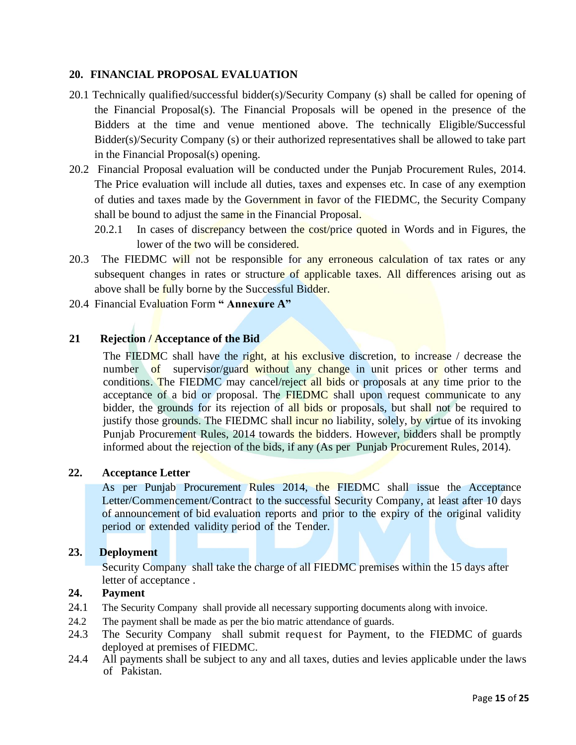#### **20. FINANCIAL PROPOSAL EVALUATION**

- 20.1 Technically qualified/successful bidder(s)/Security Company (s) shall be called for opening of the Financial Proposal(s). The Financial Proposals will be opened in the presence of the Bidders at the time and venue mentioned above. The technically Eligible/Successful Bidder(s)/Security Company (s) or their authorized representatives shall be allowed to take part in the Financial Proposal(s) opening.
- 20.2 Financial Proposal evaluation will be conducted under the Punjab Procurement Rules, 2014. The Price evaluation will include all duties, taxes and expenses etc. In case of any exemption of duties and taxes made by the Government in favor of the FIEDMC, the Security Company shall be bound to adjust the same in the Financial Proposal.
	- 20.2.1 In cases of discrepancy between the cost/price quoted in Words and in Figures, the lower of the two will be considered.
- 20.3 The FIEDMC will not be responsible for any erroneous calculation of tax rates or any subsequent changes in rates or structure of applicable taxes. All differences arising out as above shall be fully borne by the Successful Bidder.
- 20.4 Financial Evaluation Form **" Annexure A"**

#### **21 Rejection / Acceptance of the Bid**

The FIEDMC shall have the right, at his exclusive discretion, to increase / decrease the number of supervisor/guard without any change in unit prices or other terms and conditions. The FIEDMC may cancel/reject all bids or proposals at any time prior to the acceptance of a bid or proposal. The FIEDMC shall upon request communicate to any bidder, the grounds for its rejection of all bids or proposals, but shall not be required to justify those grounds. The FIEDMC shall incur no liability, solely, by virtue of its invoking Punjab Procurement Rules, 2014 towards the bidders. However, bidders shall be promptly informed about the rejection of the bids, if any (As per Punjab Procurement Rules, 2014).

#### **22. Acceptance Letter**

As per Punjab Procurement Rules 2014, the FIEDMC shall issue the Acceptance Letter/Commencement/Contract to the successful Security Company, at least after 10 days of announcement of bid evaluation reports and prior to the expiry of the original validity period or extended validity period of the Tender.

#### **23. Deployment**

Security Company shall take the charge of all FIEDMC premises within the 15 days after letter of acceptance .

#### **24. Payment**

- 24.1 The Security Company shall provide all necessary supporting documents along with invoice.
- 24.2 The payment shall be made as per the bio matric attendance of guards.
- 24.3 The Security Company shall submit request for Payment, to the FIEDMC of guards deployed at premises of FIEDMC.
- 24.4 All payments shall be subject to any and all taxes, duties and levies applicable under the laws of Pakistan.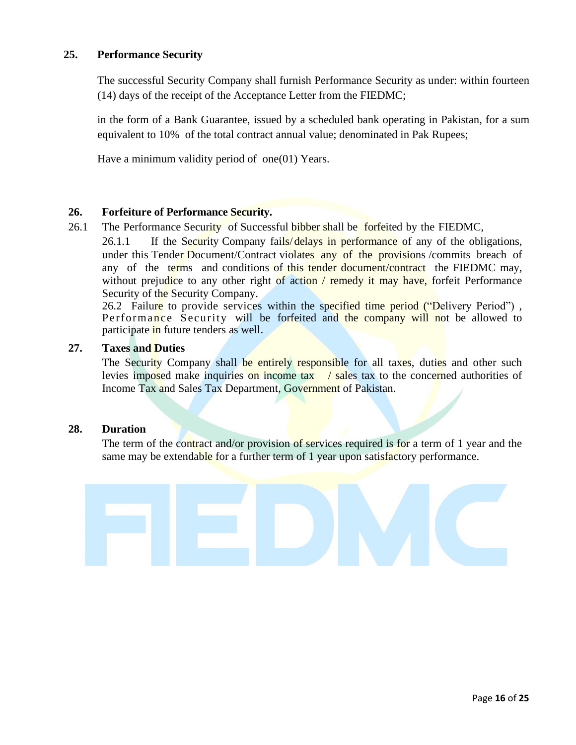#### **25. Performance Security**

The successful Security Company shall furnish Performance Security as under: within fourteen (14) days of the receipt of the Acceptance Letter from the FIEDMC;

in the form of a Bank Guarantee, issued by a scheduled bank operating in Pakistan, for a sum equivalent to 10% of the total contract annual value; denominated in Pak Rupees;

Have a minimum validity period of one(01) Years.

#### **26. Forfeiture of Performance Security.**

26.1 The Performance Security of Successful bibber shall be forfeited by the FIEDMC,

26.1.1 If the Security Company fails/ delays in performance of any of the obligations, under this Tender Document/Contract violates any of the provisions /commits breach of any of the terms and conditions of this tender document/contract the FIEDMC may, without prejudice to any other right of action / remedy it may have, forfeit Performance Security of the Security Company.

26.2 Failure to provide services within the specified time period ("Delivery Period"), Performance Security will be forfeited and the company will not be allowed to participate in future tenders as well.

#### **27. Taxes and Duties**

The Security Company shall be entirely responsible for all taxes, duties and other such levies imposed make inquiries on income tax  $\ell$  sales tax to the concerned authorities of Income Tax and Sales Tax Department, Government of Pakistan.

#### **28. Duration**

The term of the contract and/or provision of services required is for a term of 1 year and the same may be extendable for a further term of 1 year upon satisfactory performance.

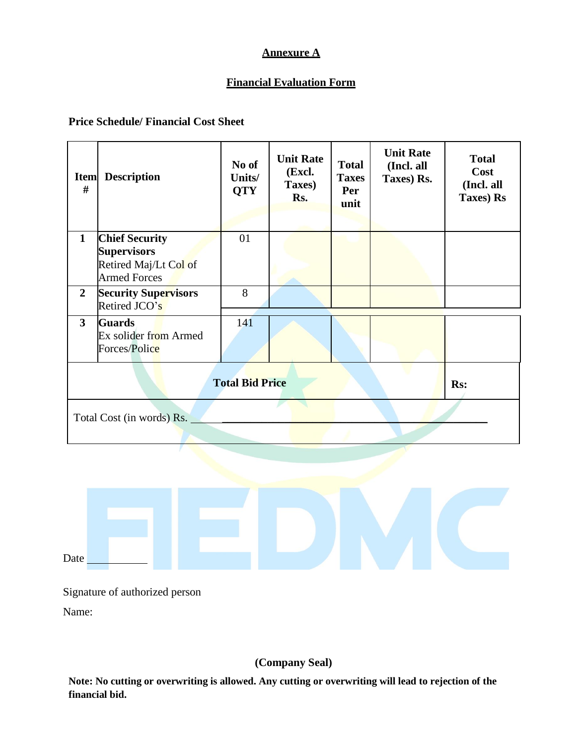# **Annexure A**

# **Financial Evaluation Form**

#### **Price Schedule/ Financial Cost Sheet**

| #                         | <b>Item</b> Description                                                                     | No of<br>Units/<br><b>QTY</b> | <b>Unit Rate</b><br>(Excl.<br>Taxes)<br>Rs. | <b>Total</b><br><b>Taxes</b><br>Per<br>unit | <b>Unit Rate</b><br>(Incl. all<br>Taxes) Rs. | <b>Total</b><br>Cost<br>(Incl. all<br>Taxes) Rs |
|---------------------------|---------------------------------------------------------------------------------------------|-------------------------------|---------------------------------------------|---------------------------------------------|----------------------------------------------|-------------------------------------------------|
| $\mathbf{1}$              | <b>Chief Security</b><br><b>Supervisors</b><br>Retired Maj/Lt Col of<br><b>Armed Forces</b> | 01                            |                                             |                                             |                                              |                                                 |
| $\overline{2}$            | <b>Security Supervisors</b><br>Retired JCO's                                                | 8                             |                                             |                                             |                                              |                                                 |
| $\mathbf{3}$              | <b>Guards</b><br>Ex solider from Armed<br>Forces/Police                                     | 141                           |                                             |                                             |                                              |                                                 |
|                           | <b>Total Bid Price</b><br>Rs:                                                               |                               |                                             |                                             |                                              |                                                 |
| Total Cost (in words) Rs. |                                                                                             |                               |                                             |                                             |                                              |                                                 |



Signature of authorized person

Name:

# **(Company Seal)**

**Note: No cutting or overwriting is allowed. Any cutting or overwriting will lead to rejection of the financial bid.**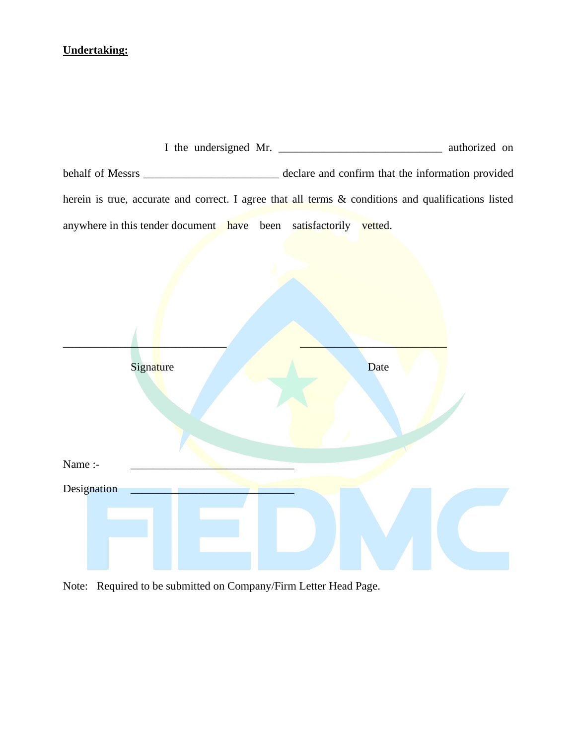# **Undertaking:**

|                                                                   | I the undersigned Mr.<br>authorized on                                                              |
|-------------------------------------------------------------------|-----------------------------------------------------------------------------------------------------|
|                                                                   | declare and confirm that the information provided                                                   |
|                                                                   | herein is true, accurate and correct. I agree that all terms & conditions and qualifications listed |
| anywhere in this tender document have been satisfactorily vetted. |                                                                                                     |



Note: Required to be submitted on Company/Firm Letter Head Page.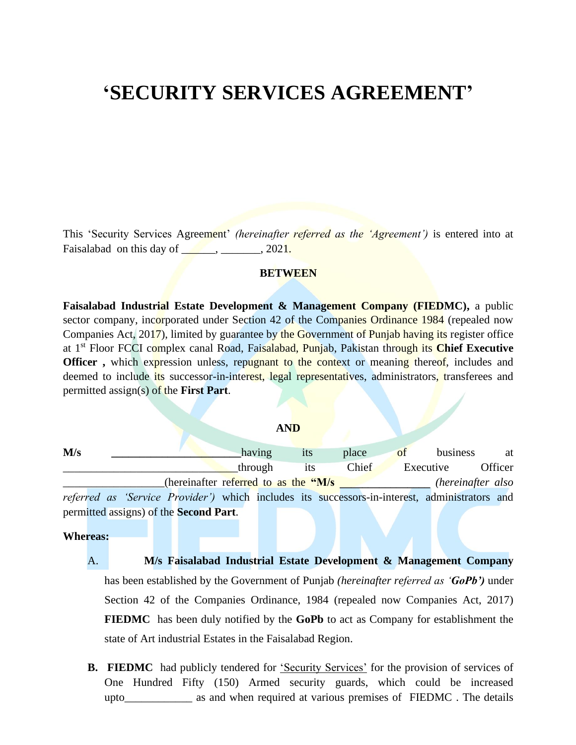# **'SECURITY SERVICES AGREEMENT'**

This 'Security Services Agreement' *(hereinafter referred as the 'Agreement')* is entered into at Faisalabad on this day of  $\qquad \qquad$ ,  $2021$ .

#### **BETWEEN**

**Faisalabad Industrial Estate Development & Management Company (FIEDMC),** a public sector company, incorporated under Section 42 of the Companies Ordinance 1984 (repealed now Companies Act, 2017), limited by guarantee by the Government of Punjab having its register office at 1st Floor FCCI complex canal Road, Faisalabad, Punjab, Pakistan through its **Chief Executive Officer**, which expression unless, repugnant to the context or meaning thereof, includes and deemed to include its successor-in-interest, legal representatives, administrators, transferees and permitted assign(s) of the **First Part**.

#### **AND**

| M/s |                                                                                                       |                                       | having  | <i>its</i> | place | of | business          | at      |
|-----|-------------------------------------------------------------------------------------------------------|---------------------------------------|---------|------------|-------|----|-------------------|---------|
|     |                                                                                                       |                                       | through | 1ts        | Chief |    | Executive         | Officer |
|     |                                                                                                       | (hereinafter referred to as the "M/s" |         |            |       |    | (hereinafter also |         |
|     | <i>referred as 'Service Provider'</i> ) which includes its successors-in-interest, administrators and |                                       |         |            |       |    |                   |         |
|     | permitted assigns) of the Second Part.                                                                |                                       |         |            |       |    |                   |         |

#### **Whereas:**

- A. **M/s Faisalabad Industrial Estate Development & Management Company**  has been established by the Government of Punjab *(hereinafter referred as 'GoPb')* under Section 42 of the Companies Ordinance, 1984 (repealed now Companies Act, 2017) **FIEDMC** has been duly notified by the **GoPb** to act as Company for establishment the state of Art industrial Estates in the Faisalabad Region.
- **B. FIEDMC** had publicly tendered for 'Security Services' for the provision of services of One Hundred Fifty (150) Armed security guards, which could be increased upto\_\_\_\_\_\_\_\_\_\_\_\_ as and when required at various premises of FIEDMC . The details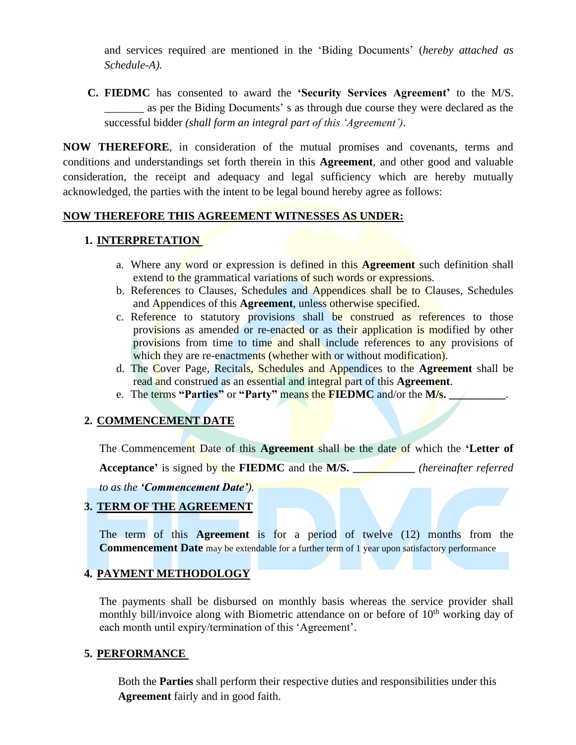and services required are mentioned in the 'Biding Documents' (*hereby attached as Schedule-A).* 

**C. FIEDMC** has consented to award the **'Security Services Agreement'** to the M/S. \_\_\_\_\_\_\_ as per the Biding Documents' s as through due course they were declared as the successful bidder *(shall form an integral part of this 'Agreement')*.

**NOW THEREFORE**, in consideration of the mutual promises and covenants, terms and conditions and understandings set forth therein in this **Agreement**, and other good and valuable consideration, the receipt and adequacy and legal sufficiency which are hereby mutually acknowledged, the parties with the intent to be legal bound hereby agree as follows:

#### **NOW THEREFORE THIS AGREEMENT WITNESSES AS UNDER:**

# **1. INTERPRETATION**

- a. Where any word or expression is defined in this **Agreement** such definition shall extend to the grammatical variations of such words or expressions.
- b. References to Clauses, Schedules and Appendices shall be to Clauses, Schedules and Appendices of this **Agreement**, unless otherwise specified.
- c. Reference to statutory provisions shall be construed as references to those provisions as amended or re-enacted or as their application is modified by other provisions from time to time and shall include references to any provisions of which they are re-enactments (whether with or without modification).
- d. The Cover Page, Recitals, Schedules and Appendices to the **Agreement** shall be read and construed as an essential and integral part of this **Agreement**.
- e. The terms **"Parties"** or **"Party"** means the **FIEDMC** and/or the **M/s. \_\_\_\_\_\_\_\_\_\_**.

### **2. COMMENCEMENT DATE**

The Commencement Date of this **Agreement** shall be the date of which the **'Letter of** 

**Acceptance'** is signed by the **FIEDMC** and the **M/S. \_\_\_\_\_\_\_\_\_\_\_** *(hereinafter referred* 

*to as the 'Commencement Date').*

### **3. TERM OF THE AGREEMENT**

The term of this **Agreement** is for a period of twelve (12) months from the **Commencement Date** may be extendable for a further term of 1 year upon satisfactory performance

# **4. PAYMENT METHODOLOGY**

The payments shall be disbursed on monthly basis whereas the service provider shall monthly bill/invoice along with Biometric attendance on or before of  $10<sup>th</sup>$  working day of each month until expiry/termination of this 'Agreement'.

### **5. PERFORMANCE**

Both the **Parties** shall perform their respective duties and responsibilities under this **Agreement** fairly and in good faith.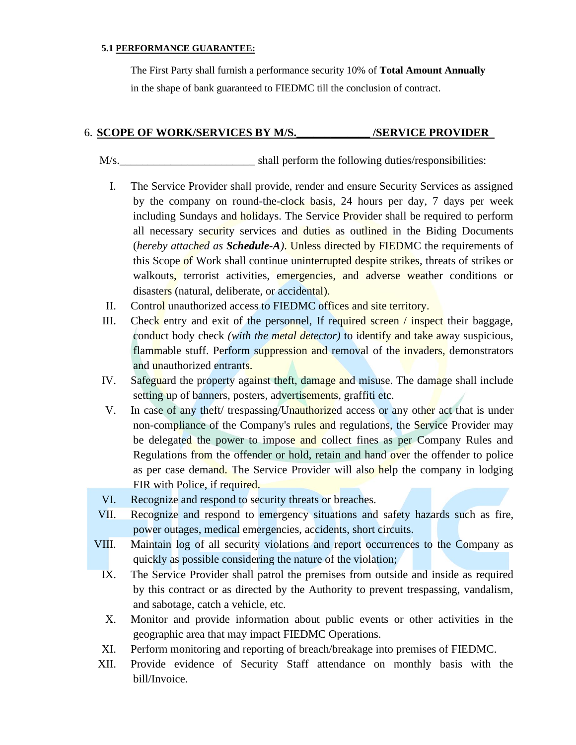#### **5.1 PERFORMANCE GUARANTEE:**

The First Party shall furnish a performance security 10% of **Total Amount Annually** in the shape of bank guaranteed to FIEDMC till the conclusion of contract.

#### 6. **SCOPE OF WORK/SERVICES BY M/S.\_\_\_\_\_\_\_\_\_\_\_\_\_ /SERVICE PROVIDER**

M/s. Shall perform the following duties/responsibilities:

- I. The Service Provider shall provide, render and ensure Security Services as assigned by the company on round-the-clock basis, 24 hours per day, 7 days per week including Sundays and holidays. The Service Provider shall be required to perform all necessary security services and duties as outlined in the Biding Documents (*hereby attached as Schedule-A)*. Unless directed by FIEDMC the requirements of this Scope of Work shall continue uninterrupted despite strikes, threats of strikes or walkouts, terrorist activities, emergencies, and adverse weather conditions or disasters (natural, deliberate, or accidental).
- II. Control unauthorized access to FIEDMC offices and site territory.
- III. Check entry and exit of the personnel, If required screen  $\ell$  inspect their baggage, conduct body check *(with the metal detector)* to identify and take away suspicious, flammable stuff. Perform suppression and removal of the invaders, demonstrators and unauthorized entrants.
- IV. Safeguard the property against theft, damage and misuse. The damage shall include setting up of banners, posters, advertisements, graffiti etc.
- V. In case of any theft/ trespassing/Unauthorized access or any other act that is under non-compliance of the Company's rules and regulations, the Service Provider may be delegated the power to impose and collect fines as per Company Rules and Regulations from the offender or hold, retain and hand over the offender to police as per case demand. The Service Provider will also help the company in lodging FIR with Police, if required.
- VI. Recognize and respond to security threats or breaches.
- VII. Recognize and respond to emergency situations and safety hazards such as fire, power outages, medical emergencies, accidents, short circuits.
- VIII. Maintain log of all security violations and report occurrences to the Company as quickly as possible considering the nature of the violation;
	- IX. The Service Provider shall patrol the premises from outside and inside as required by this contract or as directed by the Authority to prevent trespassing, vandalism, and sabotage, catch a vehicle, etc.
	- X. Monitor and provide information about public events or other activities in the geographic area that may impact FIEDMC Operations.
	- XI. Perform monitoring and reporting of breach/breakage into premises of FIEDMC.
- XII. Provide evidence of Security Staff attendance on monthly basis with the bill/Invoice.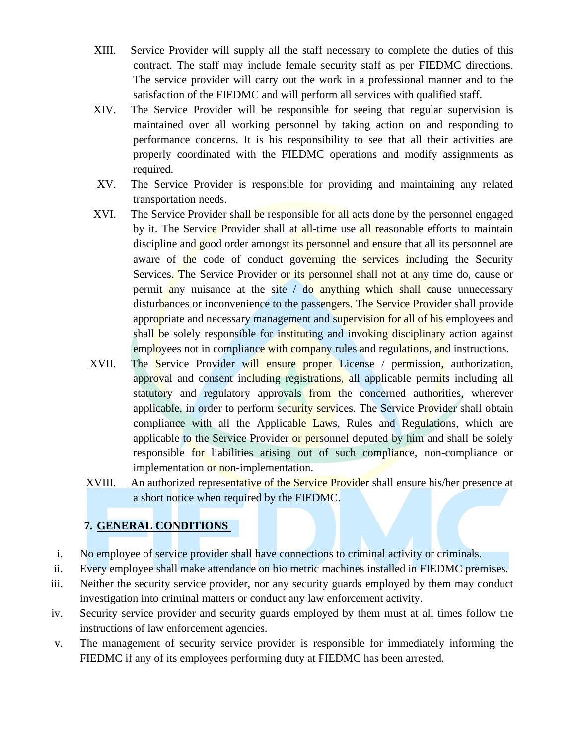- XIII. Service Provider will supply all the staff necessary to complete the duties of this contract. The staff may include female security staff as per FIEDMC directions. The service provider will carry out the work in a professional manner and to the satisfaction of the FIEDMC and will perform all services with qualified staff.
- XIV. The Service Provider will be responsible for seeing that regular supervision is maintained over all working personnel by taking action on and responding to performance concerns. It is his responsibility to see that all their activities are properly coordinated with the FIEDMC operations and modify assignments as required.
- XV. The Service Provider is responsible for providing and maintaining any related transportation needs.
- XVI. The Service Provider shall be responsible for all acts done by the personnel engaged by it. The Service Provider shall at all-time use all reasonable efforts to maintain discipline and good order amongst its personnel and ensure that all its personnel are aware of the code of conduct governing the services including the Security Services. The Service Provider or its personnel shall not at any time do, cause or permit any nuisance at the site  $\ell$  do anything which shall cause unnecessary disturbances or inconvenience to the passengers. The Service Provider shall provide appropriate and necessary management and supervision for all of his employees and shall be solely responsible for instituting and invoking disciplinary action against employees not in compliance with company rules and regulations, and instructions.
- XVII. The Service Provider will ensure proper License / permission, authorization, approval and consent including registrations, all applicable permits including all statutory and regulatory approvals from the concerned authorities, wherever applicable, in order to perform security services. The Service Provider shall obtain compliance with all the Applicable Laws, Rules and Regulations, which are applicable to the Service Provider or personnel deputed by him and shall be solely responsible for liabilities arising out of such compliance, non-compliance or implementation or non-implementation.
- XVIII. An authorized representative of the Service Provider shall ensure his/her presence at a short notice when required by the FIEDMC.

# **7. GENERAL CONDITIONS**

- i. No employee of service provider shall have connections to criminal activity or criminals.
- ii. Every employee shall make attendance on bio metric machines installed in FIEDMC premises.
- iii. Neither the security service provider, nor any security guards employed by them may conduct investigation into criminal matters or conduct any law enforcement activity.
- iv. Security service provider and security guards employed by them must at all times follow the instructions of law enforcement agencies.
- v. The management of security service provider is responsible for immediately informing the FIEDMC if any of its employees performing duty at FIEDMC has been arrested.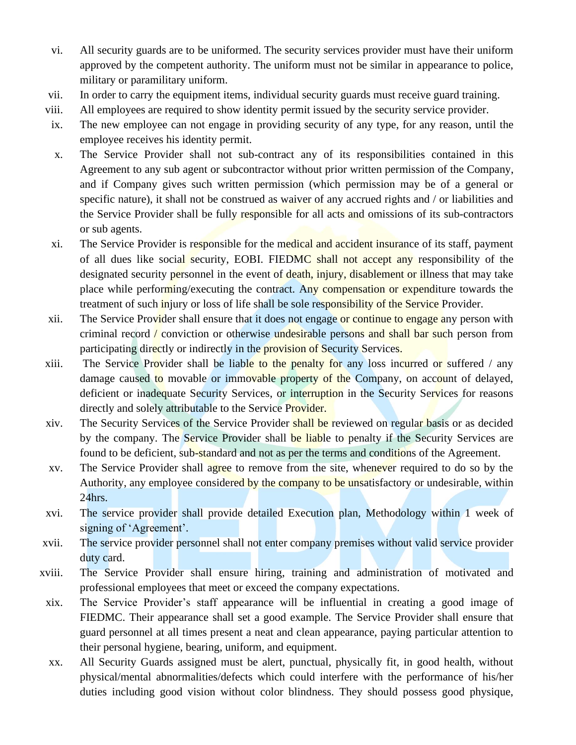- vi. All security guards are to be uniformed. The security services provider must have their uniform approved by the competent authority. The uniform must not be similar in appearance to police, military or paramilitary uniform.
- vii. In order to carry the equipment items, individual security guards must receive guard training.
- viii. All employees are required to show identity permit issued by the security service provider.
- ix. The new employee can not engage in providing security of any type, for any reason, until the employee receives his identity permit.
- x. The Service Provider shall not sub-contract any of its responsibilities contained in this Agreement to any sub agent or subcontractor without prior written permission of the Company, and if Company gives such written permission (which permission may be of a general or specific nature), it shall not be construed as waiver of any accrued rights and / or liabilities and the Service Provider shall be fully responsible for all acts and omissions of its sub-contractors or sub agents.
- xi. The Service Provider is responsible for the medical and accident insurance of its staff, payment of all dues like social security, EOBI. FIEDMC shall not accept any responsibility of the designated security personnel in the event of death, injury, disablement or illness that may take place while performing/executing the contract. Any compensation or expenditure towards the treatment of such injury or loss of life shall be sole responsibility of the Service Provider.
- xii. The Service Provider shall ensure that it does not engage or continue to engage any person with criminal record / conviction or otherwise undesirable persons and shall bar such person from participating directly or indirectly in the provision of Security Services.
- xiii. The Service Provider shall be liable to the penalty for any loss incurred or suffered  $\ell$  any damage caused to movable or immovable property of the Company, on account of delayed, deficient or inadequate Security Services, or interruption in the Security Services for reasons directly and solely attributable to the Service Provider.
- xiv. The Security Services of the Service Provider shall be reviewed on regular basis or as decided by the company. The Service Provider shall be liable to penalty if the Security Services are found to be deficient, sub-standard and not as per the terms and conditions of the Agreement.
- xv. The Service Provider shall agree to remove from the site, whenever required to do so by the Authority, any employee considered by the company to be unsatisfactory or undesirable, within  $24$ hrs.
- xvi. The service provider shall provide detailed Execution plan, Methodology within 1 week of signing of 'Agreement'.
- xvii. The service provider personnel shall not enter company premises without valid service provider duty card.
- xviii. The Service Provider shall ensure hiring, training and administration of motivated and professional employees that meet or exceed the company expectations.
- xix. The Service Provider's staff appearance will be influential in creating a good image of FIEDMC. Their appearance shall set a good example. The Service Provider shall ensure that guard personnel at all times present a neat and clean appearance, paying particular attention to their personal hygiene, bearing, uniform, and equipment.
- xx. All Security Guards assigned must be alert, punctual, physically fit, in good health, without physical/mental abnormalities/defects which could interfere with the performance of his/her duties including good vision without color blindness. They should possess good physique,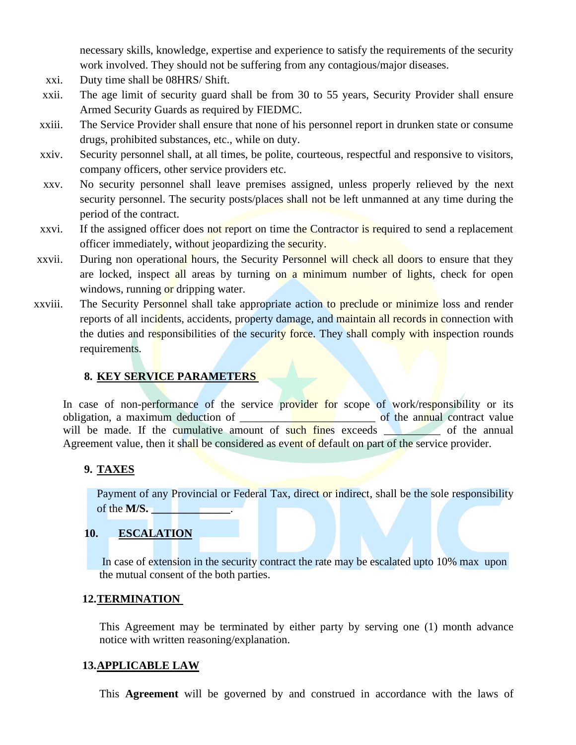necessary skills, knowledge, expertise and experience to satisfy the requirements of the security work involved. They should not be suffering from any contagious/major diseases.

- xxi. Duty time shall be 08HRS/ Shift.
- xxii. The age limit of security guard shall be from 30 to 55 years, Security Provider shall ensure Armed Security Guards as required by FIEDMC.
- xxiii. The Service Provider shall ensure that none of his personnel report in drunken state or consume drugs, prohibited substances, etc., while on duty.
- xxiv. Security personnel shall, at all times, be polite, courteous, respectful and responsive to visitors, company officers, other service providers etc.
- xxv. No security personnel shall leave premises assigned, unless properly relieved by the next security personnel. The security posts/places shall not be left unmanned at any time during the period of the contract.
- xxvi. If the assigned officer does not report on time the Contractor is required to send a replacement officer immediately, without jeopardizing the security.
- xxvii. During non operational hours, the Security Personnel will check all doors to ensure that they are locked, inspect all areas by turning on a minimum number of lights, check for open windows, running or dripping water.
- xxviii. The Security Personnel shall take appropriate action to preclude or minimize loss and render reports of all incidents, accidents, property damage, and maintain all records in connection with the duties and responsibilities of the security force. They shall comply with inspection rounds requirements.

#### **8. KEY SERVICE PARAMETERS**

In case of non-performance of the service provider for scope of work/responsibility or its obligation, a maximum deduction of \_\_\_\_\_\_\_\_\_\_\_\_\_\_\_\_\_\_\_\_\_\_\_\_ of the annual contract value will be made. If the cumulative amount of such fines exceeds of the annual Agreement value, then it shall be considered as event of default on part of the service provider.

#### **9. TAXES**

Payment of any Provincial or Federal Tax, direct or indirect, shall be the sole responsibility of the **M/S. \_\_\_\_\_\_\_\_\_\_\_\_\_\_**.

#### **10. ESCALATION**

In case of extension in the security contract the rate may be escalated upto 10% max upon the mutual consent of the both parties.

#### **12.TERMINATION**

This Agreement may be terminated by either party by serving one (1) month advance notice with written reasoning/explanation.

#### **13.APPLICABLE LAW**

This **Agreement** will be governed by and construed in accordance with the laws of